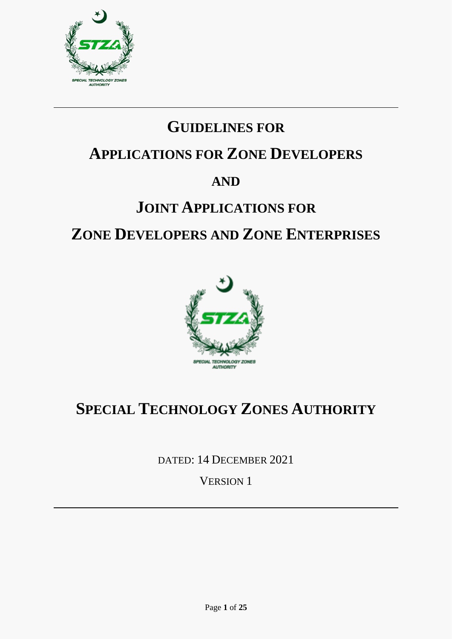

# **GUIDELINES FOR**

# **APPLICATIONS FOR ZONE DEVELOPERS**

### **AND**

# **JOINT APPLICATIONS FOR ZONE DEVELOPERS AND ZONE ENTERPRISES**



# **SPECIAL TECHNOLOGY ZONES AUTHORITY**

DATED: 14 DECEMBER 2021

VERSION 1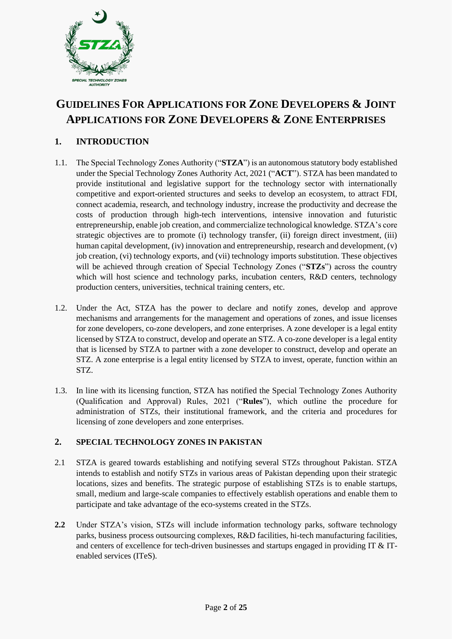

### **GUIDELINES FOR APPLICATIONS FOR ZONE DEVELOPERS & JOINT APPLICATIONS FOR ZONE DEVELOPERS & ZONE ENTERPRISES**

#### **1. INTRODUCTION**

- 1.1. The Special Technology Zones Authority ("**STZA**") is an autonomous statutory body established under the Special Technology Zones Authority Act, 2021 ("**ACT**"). STZA has been mandated to provide institutional and legislative support for the technology sector with internationally competitive and export-oriented structures and seeks to develop an ecosystem, to attract FDI, connect academia, research, and technology industry, increase the productivity and decrease the costs of production through high-tech interventions, intensive innovation and futuristic entrepreneurship, enable job creation, and commercialize technological knowledge. STZA's core strategic objectives are to promote (i) technology transfer, (ii) foreign direct investment, (iii) human capital development, (iv) innovation and entrepreneurship, research and development, (v) job creation, (vi) technology exports, and (vii) technology imports substitution. These objectives will be achieved through creation of Special Technology Zones ("**STZs**") across the country which will host science and technology parks, incubation centers, R&D centers, technology production centers, universities, technical training centers, etc.
- 1.2. Under the Act, STZA has the power to declare and notify zones, develop and approve mechanisms and arrangements for the management and operations of zones, and issue licenses for zone developers, co-zone developers, and zone enterprises. A zone developer is a legal entity licensed by STZA to construct, develop and operate an STZ. A co-zone developer is a legal entity that is licensed by STZA to partner with a zone developer to construct, develop and operate an STZ. A zone enterprise is a legal entity licensed by STZA to invest, operate, function within an STZ.
- 1.3. In line with its licensing function, STZA has notified the Special Technology Zones Authority (Qualification and Approval) Rules, 2021 ("**Rules**"), which outline the procedure for administration of STZs, their institutional framework, and the criteria and procedures for licensing of zone developers and zone enterprises.

#### **2. SPECIAL TECHNOLOGY ZONES IN PAKISTAN**

- 2.1 STZA is geared towards establishing and notifying several STZs throughout Pakistan. STZA intends to establish and notify STZs in various areas of Pakistan depending upon their strategic locations, sizes and benefits. The strategic purpose of establishing STZs is to enable startups, small, medium and large-scale companies to effectively establish operations and enable them to participate and take advantage of the eco-systems created in the STZs.
- **2.2** Under STZA's vision, STZs will include information technology parks, software technology parks, business process outsourcing complexes, R&D facilities, hi-tech manufacturing facilities, and centers of excellence for tech-driven businesses and startups engaged in providing IT  $\&$  ITenabled services (ITeS).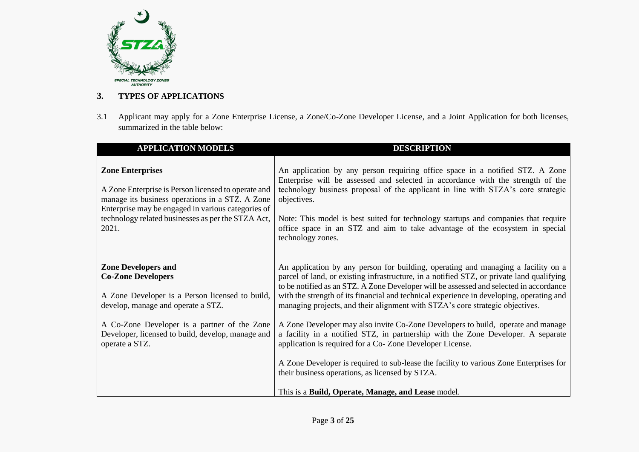

#### **3. TYPES OF APPLICATIONS**

3.1 Applicant may apply for a Zone Enterprise License, a Zone/Co-Zone Developer License, and a Joint Application for both licenses, summarized in the table below:

| <b>APPLICATION MODELS</b>                                                                                                                                                                                                                              | <b>DESCRIPTION</b>                                                                                                                                                                                                                                                                                                                                                                                                                                             |
|--------------------------------------------------------------------------------------------------------------------------------------------------------------------------------------------------------------------------------------------------------|----------------------------------------------------------------------------------------------------------------------------------------------------------------------------------------------------------------------------------------------------------------------------------------------------------------------------------------------------------------------------------------------------------------------------------------------------------------|
| <b>Zone Enterprises</b><br>A Zone Enterprise is Person licensed to operate and<br>manage its business operations in a STZ. A Zone<br>Enterprise may be engaged in various categories of<br>technology related businesses as per the STZA Act,<br>2021. | An application by any person requiring office space in a notified STZ. A Zone<br>Enterprise will be assessed and selected in accordance with the strength of the<br>technology business proposal of the applicant in line with STZA's core strategic<br>objectives.<br>Note: This model is best suited for technology startups and companies that require<br>office space in an STZ and aim to take advantage of the ecosystem in special<br>technology zones. |
| <b>Zone Developers and</b><br><b>Co-Zone Developers</b><br>A Zone Developer is a Person licensed to build,<br>develop, manage and operate a STZ.                                                                                                       | An application by any person for building, operating and managing a facility on a<br>parcel of land, or existing infrastructure, in a notified STZ, or private land qualifying<br>to be notified as an STZ. A Zone Developer will be assessed and selected in accordance<br>with the strength of its financial and technical experience in developing, operating and<br>managing projects, and their alignment with STZA's core strategic objectives.          |
| A Co-Zone Developer is a partner of the Zone<br>Developer, licensed to build, develop, manage and<br>operate a STZ.                                                                                                                                    | A Zone Developer may also invite Co-Zone Developers to build, operate and manage<br>a facility in a notified STZ, in partnership with the Zone Developer. A separate<br>application is required for a Co-Zone Developer License.                                                                                                                                                                                                                               |
|                                                                                                                                                                                                                                                        | A Zone Developer is required to sub-lease the facility to various Zone Enterprises for<br>their business operations, as licensed by STZA.<br>This is a Build, Operate, Manage, and Lease model.                                                                                                                                                                                                                                                                |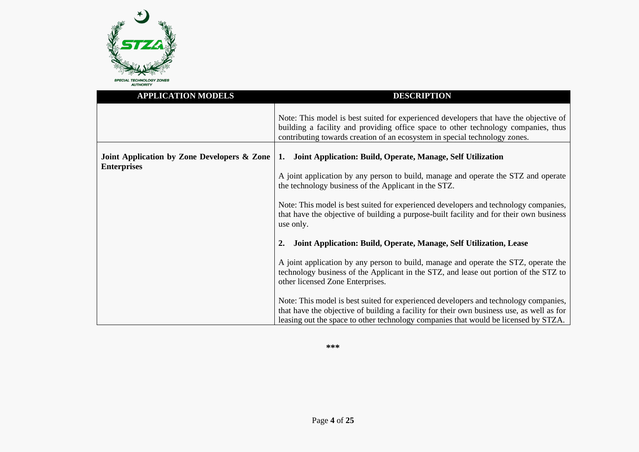

| <b>APPLICATION MODELS</b>                                         | <b>DESCRIPTION</b>                                                                                                                                                                                                                                                                                                                                                                                                                                                                                                                                                |  |
|-------------------------------------------------------------------|-------------------------------------------------------------------------------------------------------------------------------------------------------------------------------------------------------------------------------------------------------------------------------------------------------------------------------------------------------------------------------------------------------------------------------------------------------------------------------------------------------------------------------------------------------------------|--|
|                                                                   | Note: This model is best suited for experienced developers that have the objective of<br>building a facility and providing office space to other technology companies, thus<br>contributing towards creation of an ecosystem in special technology zones.                                                                                                                                                                                                                                                                                                         |  |
| Joint Application by Zone Developers & Zone<br><b>Enterprises</b> | Joint Application: Build, Operate, Manage, Self Utilization<br>1.<br>A joint application by any person to build, manage and operate the STZ and operate<br>the technology business of the Applicant in the STZ.<br>Note: This model is best suited for experienced developers and technology companies,<br>that have the objective of building a purpose-built facility and for their own business<br>use only.                                                                                                                                                   |  |
|                                                                   | Joint Application: Build, Operate, Manage, Self Utilization, Lease<br>A joint application by any person to build, manage and operate the STZ, operate the<br>technology business of the Applicant in the STZ, and lease out portion of the STZ to<br>other licensed Zone Enterprises.<br>Note: This model is best suited for experienced developers and technology companies,<br>that have the objective of building a facility for their own business use, as well as for<br>leasing out the space to other technology companies that would be licensed by STZA. |  |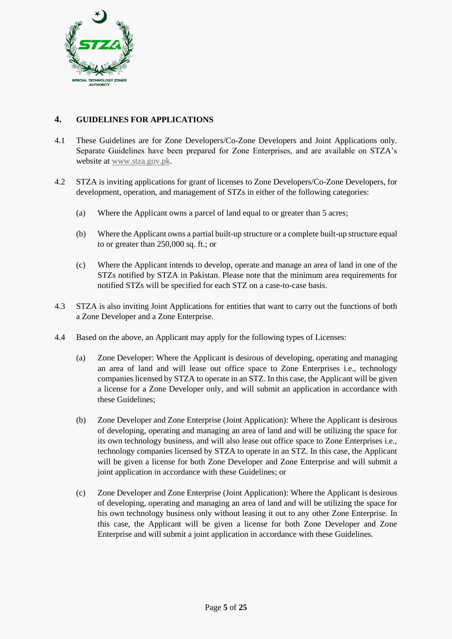

#### **4. GUIDELINES FOR APPLICATIONS**

- 4.1 These Guidelines are for Zone Developers/Co-Zone Developers and Joint Applications only. Separate Guidelines have been prepared for Zone Enterprises, and are available on STZA's website at [www.stza.gov.pk.](http://www.stza.gov.pk/)
- 4.2 STZA is inviting applications for grant of licenses to Zone Developers/Co-Zone Developers, for development, operation, and management of STZs in either of the following categories:
	- (a) Where the Applicant owns a parcel of land equal to or greater than 5 acres;
	- (b) Where the Applicant owns a partial built-up structure or a complete built-up structure equal to or greater than 250,000 sq. ft.; or
	- (c) Where the Applicant intends to develop, operate and manage an area of land in one of the STZs notified by STZA in Pakistan. Please note that the minimum area requirements for notified STZs will be specified for each STZ on a case-to-case basis.
- 4.3 STZA is also inviting Joint Applications for entities that want to carry out the functions of both a Zone Developer and a Zone Enterprise.
- 4.4 Based on the above, an Applicant may apply for the following types of Licenses:
	- (a) Zone Developer: Where the Applicant is desirous of developing, operating and managing an area of land and will lease out office space to Zone Enterprises i.e., technology companies licensed by STZA to operate in an STZ. In this case, the Applicant will be given a license for a Zone Developer only, and will submit an application in accordance with these Guidelines;
	- (b) Zone Developer and Zone Enterprise (Joint Application): Where the Applicant is desirous of developing, operating and managing an area of land and will be utilizing the space for its own technology business, and will also lease out office space to Zone Enterprises i.e., technology companies licensed by STZA to operate in an STZ. In this case, the Applicant will be given a license for both Zone Developer and Zone Enterprise and will submit a joint application in accordance with these Guidelines; or
	- (c) Zone Developer and Zone Enterprise (Joint Application): Where the Applicant is desirous of developing, operating and managing an area of land and will be utilizing the space for his own technology business only without leasing it out to any other Zone Enterprise. In this case, the Applicant will be given a license for both Zone Developer and Zone Enterprise and will submit a joint application in accordance with these Guidelines.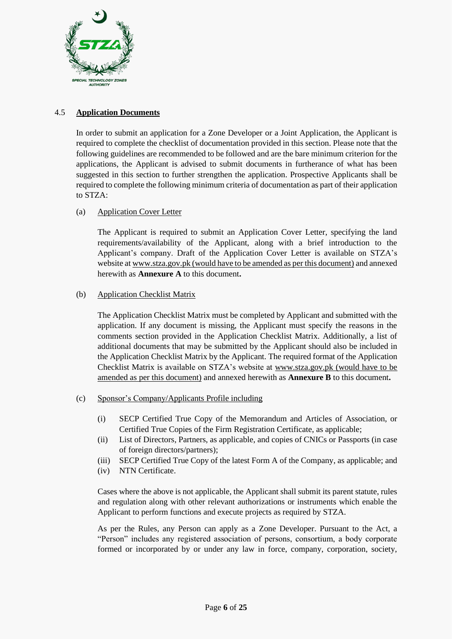

#### 4.5 **Application Documents**

In order to submit an application for a Zone Developer or a Joint Application, the Applicant is required to complete the checklist of documentation provided in this section. Please note that the following guidelines are recommended to be followed and are the bare minimum criterion for the applications, the Applicant is advised to submit documents in furtherance of what has been suggested in this section to further strengthen the application. Prospective Applicants shall be required to complete the following minimum criteria of documentation as part of their application to STZA:

#### (a) Application Cover Letter

The Applicant is required to submit an Application Cover Letter, specifying the land requirements/availability of the Applicant, along with a brief introduction to the Applicant's company. Draft of the Application Cover Letter is available on STZA's website a[t www.stza.gov.pk](http://www.stza.gov.pk/) (would have to be amended as per this document) and annexed herewith as **Annexure A** to this document**.**

#### (b) Application Checklist Matrix

The Application Checklist Matrix must be completed by Applicant and submitted with the application. If any document is missing, the Applicant must specify the reasons in the comments section provided in the Application Checklist Matrix. Additionally, a list of additional documents that may be submitted by the Applicant should also be included in the Application Checklist Matrix by the Applicant. The required format of the Application Checklist Matrix is available on STZA's website at [www.stza.gov.pk](http://www.stza.gov.pk/) (would have to be amended as per this document) and annexed herewith as **Annexure B** to this document**.**

- (c) Sponsor's Company/Applicants Profile including
	- (i) SECP Certified True Copy of the Memorandum and Articles of Association, or Certified True Copies of the Firm Registration Certificate, as applicable;
	- (ii) List of Directors, Partners, as applicable, and copies of CNICs or Passports (in case of foreign directors/partners);
	- (iii) SECP Certified True Copy of the latest Form A of the Company, as applicable; and
	- (iv) NTN Certificate.

Cases where the above is not applicable, the Applicant shall submit its parent statute, rules and regulation along with other relevant authorizations or instruments which enable the Applicant to perform functions and execute projects as required by STZA.

As per the Rules, any Person can apply as a Zone Developer. Pursuant to the Act, a "Person" includes any registered association of persons, consortium, a body corporate formed or incorporated by or under any law in force, company, corporation, society,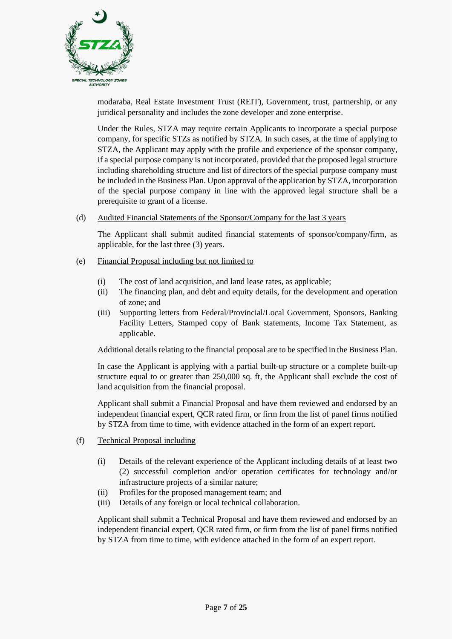

modaraba, Real Estate Investment Trust (REIT), Government, trust, partnership, or any juridical personality and includes the zone developer and zone enterprise.

Under the Rules, STZA may require certain Applicants to incorporate a special purpose company, for specific STZs as notified by STZA. In such cases, at the time of applying to STZA, the Applicant may apply with the profile and experience of the sponsor company, if a special purpose company is not incorporated, provided that the proposed legal structure including shareholding structure and list of directors of the special purpose company must be included in the Business Plan. Upon approval of the application by STZA, incorporation of the special purpose company in line with the approved legal structure shall be a prerequisite to grant of a license.

#### (d) Audited Financial Statements of the Sponsor/Company for the last 3 years

The Applicant shall submit audited financial statements of sponsor/company/firm, as applicable, for the last three (3) years.

- (e) Financial Proposal including but not limited to
	- (i) The cost of land acquisition, and land lease rates, as applicable;
	- (ii) The financing plan, and debt and equity details, for the development and operation of zone; and
	- (iii) Supporting letters from Federal/Provincial/Local Government, Sponsors, Banking Facility Letters, Stamped copy of Bank statements, Income Tax Statement, as applicable.

Additional details relating to the financial proposal are to be specified in the Business Plan.

In case the Applicant is applying with a partial built-up structure or a complete built-up structure equal to or greater than 250,000 sq. ft, the Applicant shall exclude the cost of land acquisition from the financial proposal.

Applicant shall submit a Financial Proposal and have them reviewed and endorsed by an independent financial expert, QCR rated firm, or firm from the list of panel firms notified by STZA from time to time, with evidence attached in the form of an expert report.

- (f) Technical Proposal including
	- (i) Details of the relevant experience of the Applicant including details of at least two (2) successful completion and/or operation certificates for technology and/or infrastructure projects of a similar nature;
	- (ii) Profiles for the proposed management team; and
	- (iii) Details of any foreign or local technical collaboration.

Applicant shall submit a Technical Proposal and have them reviewed and endorsed by an independent financial expert, QCR rated firm, or firm from the list of panel firms notified by STZA from time to time, with evidence attached in the form of an expert report.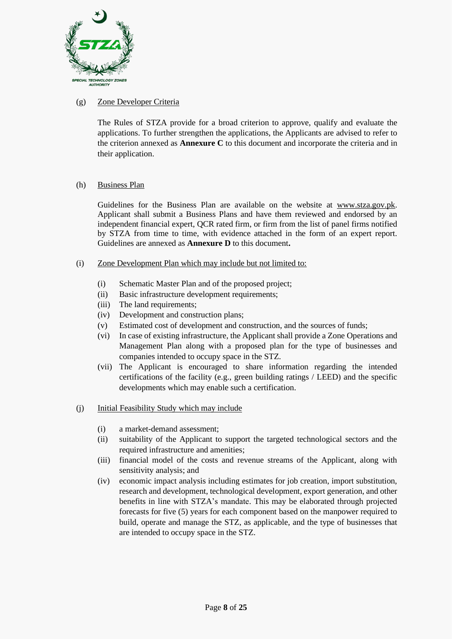

#### (g) Zone Developer Criteria

The Rules of STZA provide for a broad criterion to approve, qualify and evaluate the applications. To further strengthen the applications, the Applicants are advised to refer to the criterion annexed as **Annexure C** to this document and incorporate the criteria and in their application.

#### (h) Business Plan

Guidelines for the Business Plan are available on the website at [www.stza.gov.pk.](http://www.stza.gov.pk/) Applicant shall submit a Business Plans and have them reviewed and endorsed by an independent financial expert, QCR rated firm, or firm from the list of panel firms notified by STZA from time to time, with evidence attached in the form of an expert report. Guidelines are annexed as **Annexure D** to this document**.**

- (i) Zone Development Plan which may include but not limited to:
	- (i) Schematic Master Plan and of the proposed project;
	- (ii) Basic infrastructure development requirements;
	- (iii) The land requirements;
	- (iv) Development and construction plans;
	- (v) Estimated cost of development and construction, and the sources of funds;
	- (vi) In case of existing infrastructure, the Applicant shall provide a Zone Operations and Management Plan along with a proposed plan for the type of businesses and companies intended to occupy space in the STZ.
	- (vii) The Applicant is encouraged to share information regarding the intended certifications of the facility (e.g., green building ratings / LEED) and the specific developments which may enable such a certification.
- (j) Initial Feasibility Study which may include
	- (i) a market-demand assessment;
	- (ii) suitability of the Applicant to support the targeted technological sectors and the required infrastructure and amenities;
	- (iii) financial model of the costs and revenue streams of the Applicant, along with sensitivity analysis; and
	- (iv) economic impact analysis including estimates for job creation, import substitution, research and development, technological development, export generation, and other benefits in line with STZA's mandate. This may be elaborated through projected forecasts for five (5) years for each component based on the manpower required to build, operate and manage the STZ, as applicable, and the type of businesses that are intended to occupy space in the STZ.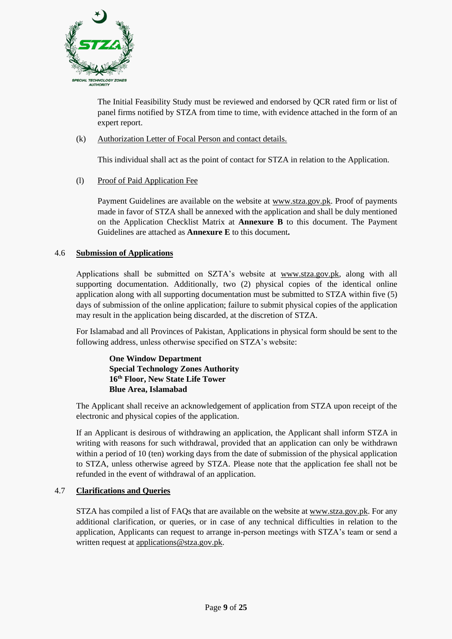

The Initial Feasibility Study must be reviewed and endorsed by QCR rated firm or list of panel firms notified by STZA from time to time, with evidence attached in the form of an expert report.

(k) Authorization Letter of Focal Person and contact details.

This individual shall act as the point of contact for STZA in relation to the Application.

(l) Proof of Paid Application Fee

Payment Guidelines are available on the website at [www.stza.gov.pk.](http://www.stza.gov.pk/) Proof of payments made in favor of STZA shall be annexed with the application and shall be duly mentioned on the Application Checklist Matrix at **Annexure B** to this document. The Payment Guidelines are attached as **Annexure E** to this document**.**

#### 4.6 **Submission of Applications**

Applications shall be submitted on SZTA's website at [www.stza.gov.pk,](http://www.stza.gov.pk/zonedevelopers) along with all supporting documentation. Additionally, two (2) physical copies of the identical online application along with all supporting documentation must be submitted to STZA within five (5) days of submission of the online application; failure to submit physical copies of the application may result in the application being discarded, at the discretion of STZA.

For Islamabad and all Provinces of Pakistan, Applications in physical form should be sent to the following address, unless otherwise specified on STZA's website:

**One Window Department Special Technology Zones Authority 16th Floor, New State Life Tower Blue Area, Islamabad**

The Applicant shall receive an acknowledgement of application from STZA upon receipt of the electronic and physical copies of the application.

If an Applicant is desirous of withdrawing an application, the Applicant shall inform STZA in writing with reasons for such withdrawal, provided that an application can only be withdrawn within a period of 10 (ten) working days from the date of submission of the physical application to STZA, unless otherwise agreed by STZA. Please note that the application fee shall not be refunded in the event of withdrawal of an application.

#### 4.7 **Clarifications and Queries**

STZA has compiled a list of FAQs that are available on the website at www.stza.gov.pk. For any additional clarification, or queries, or in case of any technical difficulties in relation to the application, Applicants can request to arrange in-person meetings with STZA's team or send a written request at [applications@stza.gov.pk.](mailto:applications@stza.gov.pk)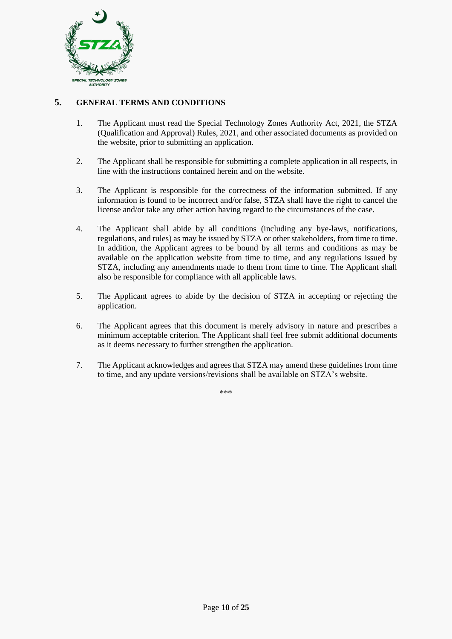

#### **5. GENERAL TERMS AND CONDITIONS**

- 1. The Applicant must read the Special Technology Zones Authority Act, 2021, the STZA (Qualification and Approval) Rules, 2021, and other associated documents as provided on the website, prior to submitting an application.
- 2. The Applicant shall be responsible for submitting a complete application in all respects, in line with the instructions contained herein and on the website.
- 3. The Applicant is responsible for the correctness of the information submitted. If any information is found to be incorrect and/or false, STZA shall have the right to cancel the license and/or take any other action having regard to the circumstances of the case.
- 4. The Applicant shall abide by all conditions (including any bye-laws, notifications, regulations, and rules) as may be issued by STZA or other stakeholders, from time to time. In addition, the Applicant agrees to be bound by all terms and conditions as may be available on the application website from time to time, and any regulations issued by STZA, including any amendments made to them from time to time. The Applicant shall also be responsible for compliance with all applicable laws.
- 5. The Applicant agrees to abide by the decision of STZA in accepting or rejecting the application.
- 6. The Applicant agrees that this document is merely advisory in nature and prescribes a minimum acceptable criterion. The Applicant shall feel free submit additional documents as it deems necessary to further strengthen the application.
- 7. The Applicant acknowledges and agrees that STZA may amend these guidelines from time to time, and any update versions/revisions shall be available on STZA's website.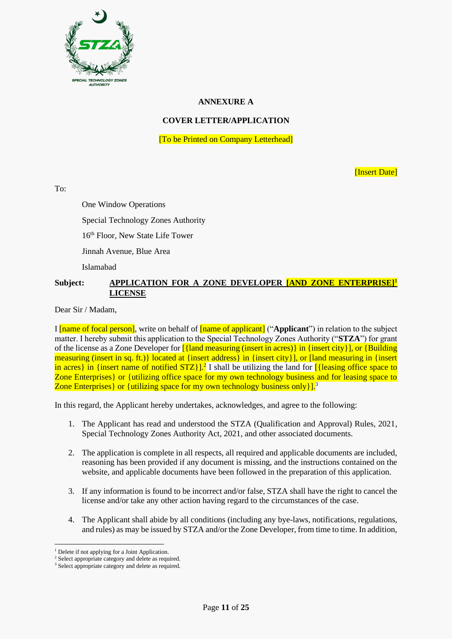

#### **ANNEXURE A**

#### **COVER LETTER/APPLICATION**

[To be Printed on Company Letterhead]

[Insert Date]

 $To^{\ldots}$ 

One Window Operations

Special Technology Zones Authority

16<sup>th</sup> Floor, New State Life Tower

Jinnah Avenue, Blue Area

Islamabad

#### **Subject: APPLICATION FOR A ZONE DEVELOPER [AND ZONE ENTERPRISE]<sup>1</sup> LICENSE**

Dear Sir / Madam,

I [name of focal person], write on behalf of [name of applicant] ("**Applicant**") in relation to the subject matter. I hereby submit this application to the Special Technology Zones Authority ("**STZA**") for grant of the license as a Zone Developer for [{land measuring (insert in acres)} in {insert city}], or {Building measuring (insert in sq. ft.)} located at {insert address} in {insert city}], or [land measuring in {insert in acres} in {insert name of notified STZ}].<sup>2</sup> I shall be utilizing the land for [{leasing office space to Zone Enterprises} or {utilizing office space for my own technology business and for leasing space to Zone Enterprises  $\{$  or  $\{$ utilizing space for my own technology business only  $\}$ .<sup>3</sup>

In this regard, the Applicant hereby undertakes, acknowledges, and agree to the following:

- 1. The Applicant has read and understood the STZA (Qualification and Approval) Rules, 2021, Special Technology Zones Authority Act, 2021, and other associated documents.
- 2. The application is complete in all respects, all required and applicable documents are included, reasoning has been provided if any document is missing, and the instructions contained on the website, and applicable documents have been followed in the preparation of this application.
- 3. If any information is found to be incorrect and/or false, STZA shall have the right to cancel the license and/or take any other action having regard to the circumstances of the case.
- 4. The Applicant shall abide by all conditions (including any bye-laws, notifications, regulations, and rules) as may be issued by STZA and/or the Zone Developer, from time to time. In addition,

<sup>&</sup>lt;sup>1</sup> Delete if not applying for a Joint Application.

<sup>2</sup> Select appropriate category and delete as required.

<sup>&</sup>lt;sup>3</sup> Select appropriate category and delete as required.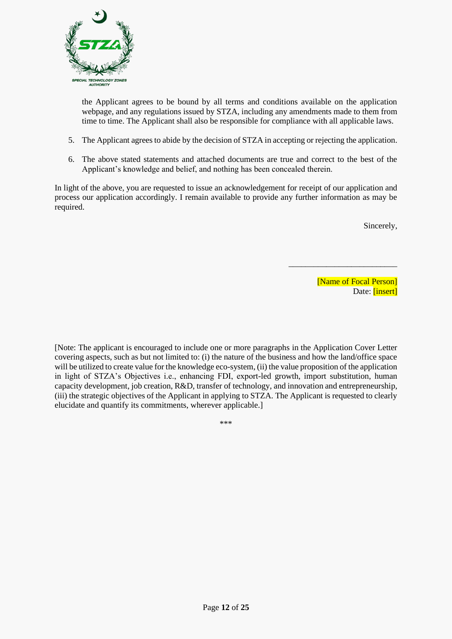

the Applicant agrees to be bound by all terms and conditions available on the application webpage, and any regulations issued by STZA, including any amendments made to them from time to time. The Applicant shall also be responsible for compliance with all applicable laws.

- 5. The Applicant agrees to abide by the decision of STZA in accepting or rejecting the application.
- 6. The above stated statements and attached documents are true and correct to the best of the Applicant's knowledge and belief, and nothing has been concealed therein.

In light of the above, you are requested to issue an acknowledgement for receipt of our application and process our application accordingly. I remain available to provide any further information as may be required.

Sincerely,

[Name of Focal Person] Date: [insert]

\_\_\_\_\_\_\_\_\_\_\_\_\_\_\_\_\_\_\_\_\_\_\_\_\_\_

[Note: The applicant is encouraged to include one or more paragraphs in the Application Cover Letter covering aspects, such as but not limited to: (i) the nature of the business and how the land/office space will be utilized to create value for the knowledge eco-system, (ii) the value proposition of the application in light of STZA's Objectives i.e., enhancing FDI, export-led growth, import substitution, human capacity development, job creation, R&D, transfer of technology, and innovation and entrepreneurship, (iii) the strategic objectives of the Applicant in applying to STZA. The Applicant is requested to clearly elucidate and quantify its commitments, wherever applicable.]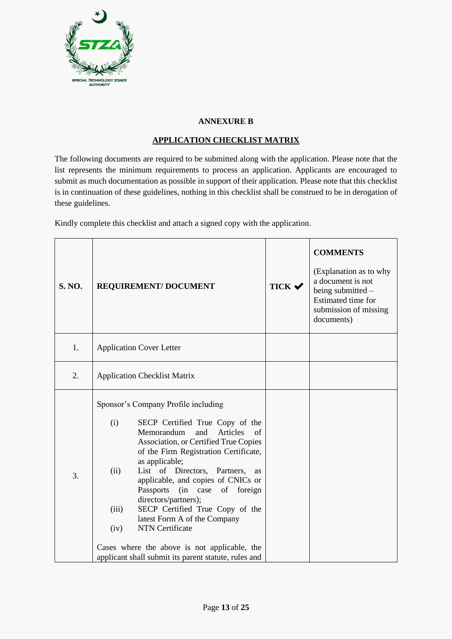

#### **ANNEXURE B**

#### **APPLICATION CHECKLIST MATRIX**

The following documents are required to be submitted along with the application. Please note that the list represents the minimum requirements to process an application. Applicants are encouraged to submit as much documentation as possible in support of their application. Please note that this checklist is in continuation of these guidelines, nothing in this checklist shall be construed to be in derogation of these guidelines.

Kindly complete this checklist and attach a signed copy with the application.

| <b>S. NO.</b> | <b>REQUIREMENT/ DOCUMENT</b>                                                                                                                                                                                                                                                                                                                                                                                                                                                                                                                                                                   | TICK V | <b>COMMENTS</b><br>(Explanation as to why<br>a document is not<br>being submitted -<br>Estimated time for<br>submission of missing<br>documents) |
|---------------|------------------------------------------------------------------------------------------------------------------------------------------------------------------------------------------------------------------------------------------------------------------------------------------------------------------------------------------------------------------------------------------------------------------------------------------------------------------------------------------------------------------------------------------------------------------------------------------------|--------|--------------------------------------------------------------------------------------------------------------------------------------------------|
| 1.            | <b>Application Cover Letter</b>                                                                                                                                                                                                                                                                                                                                                                                                                                                                                                                                                                |        |                                                                                                                                                  |
| 2.            | <b>Application Checklist Matrix</b>                                                                                                                                                                                                                                                                                                                                                                                                                                                                                                                                                            |        |                                                                                                                                                  |
| 3.            | Sponsor's Company Profile including<br>(i)<br>SECP Certified True Copy of the<br>Memorandum<br>and<br>Articles<br>of<br>Association, or Certified True Copies<br>of the Firm Registration Certificate,<br>as applicable;<br>List of Directors, Partners,<br>(ii)<br>as<br>applicable, and copies of CNICs or<br>(in case of foreign<br>Passports<br>directors/partners);<br>SECP Certified True Copy of the<br>(iii)<br>latest Form A of the Company<br><b>NTN</b> Certificate<br>(iv)<br>Cases where the above is not applicable, the<br>applicant shall submit its parent statute, rules and |        |                                                                                                                                                  |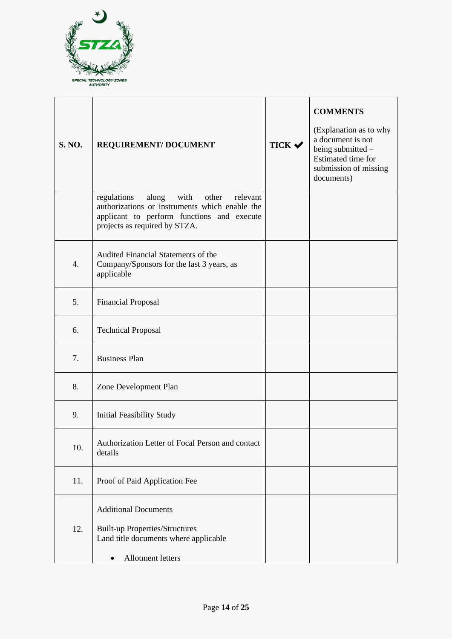

| <b>S. NO.</b>    | <b>REQUIREMENT/DOCUMENT</b>                                                                                                                                                        | TICK $\checkmark$ | <b>COMMENTS</b><br>(Explanation as to why<br>a document is not<br>being submitted -<br>Estimated time for<br>submission of missing<br>documents) |
|------------------|------------------------------------------------------------------------------------------------------------------------------------------------------------------------------------|-------------------|--------------------------------------------------------------------------------------------------------------------------------------------------|
|                  | with<br>regulations<br>along<br>other<br>relevant<br>authorizations or instruments which enable the<br>applicant to perform functions and execute<br>projects as required by STZA. |                   |                                                                                                                                                  |
| $\overline{4}$ . | Audited Financial Statements of the<br>Company/Sponsors for the last 3 years, as<br>applicable                                                                                     |                   |                                                                                                                                                  |
| 5.               | <b>Financial Proposal</b>                                                                                                                                                          |                   |                                                                                                                                                  |
| 6.               | <b>Technical Proposal</b>                                                                                                                                                          |                   |                                                                                                                                                  |
| 7.               | <b>Business Plan</b>                                                                                                                                                               |                   |                                                                                                                                                  |
| 8.               | Zone Development Plan                                                                                                                                                              |                   |                                                                                                                                                  |
| 9.               | <b>Initial Feasibility Study</b>                                                                                                                                                   |                   |                                                                                                                                                  |
| 10.              | Authorization Letter of Focal Person and contact<br>details                                                                                                                        |                   |                                                                                                                                                  |
| 11.              | Proof of Paid Application Fee                                                                                                                                                      |                   |                                                                                                                                                  |
| 12.              | <b>Additional Documents</b><br><b>Built-up Properties/Structures</b><br>Land title documents where applicable<br>Allotment letters                                                 |                   |                                                                                                                                                  |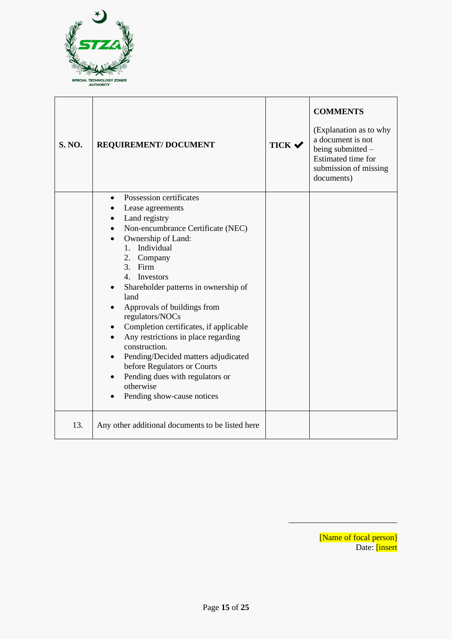

| <b>S. NO.</b> | <b>REQUIREMENT/DOCUMENT</b>                                                                                                                                                                                                                                                                                                                                                                                                                                                                                                                                                      | TICK $\checkmark$ | <b>COMMENTS</b><br>(Explanation as to why<br>a document is not<br>being submitted $-$<br>Estimated time for<br>submission of missing<br>documents) |
|---------------|----------------------------------------------------------------------------------------------------------------------------------------------------------------------------------------------------------------------------------------------------------------------------------------------------------------------------------------------------------------------------------------------------------------------------------------------------------------------------------------------------------------------------------------------------------------------------------|-------------------|----------------------------------------------------------------------------------------------------------------------------------------------------|
|               | Possession certificates<br>$\bullet$<br>Lease agreements<br>Land registry<br>Non-encumbrance Certificate (NEC)<br>Ownership of Land:<br>1. Individual<br>2. Company<br>3. Firm<br>4. Investors<br>Shareholder patterns in ownership of<br>$\bullet$<br>land<br>Approvals of buildings from<br>regulators/NOCs<br>Completion certificates, if applicable<br>Any restrictions in place regarding<br>construction.<br>Pending/Decided matters adjudicated<br>$\bullet$<br>before Regulators or Courts<br>Pending dues with regulators or<br>otherwise<br>Pending show-cause notices |                   |                                                                                                                                                    |
| 13.           | Any other additional documents to be listed here                                                                                                                                                                                                                                                                                                                                                                                                                                                                                                                                 |                   |                                                                                                                                                    |

[Name of focal person] Date: *[insert* 

\_\_\_\_\_\_\_\_\_\_\_\_\_\_\_\_\_\_\_\_\_\_\_\_\_\_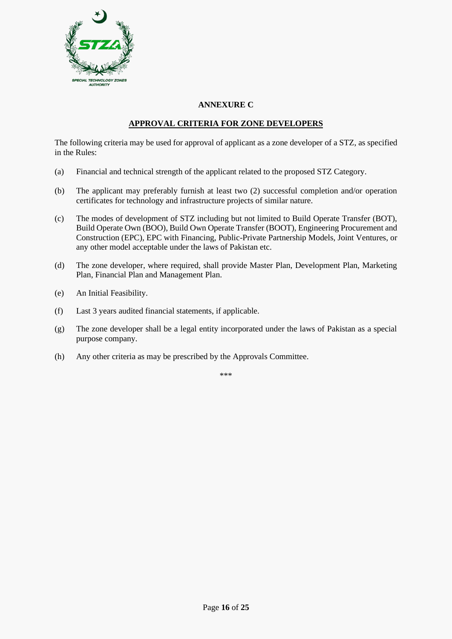

#### **ANNEXURE C**

#### **APPROVAL CRITERIA FOR ZONE DEVELOPERS**

The following criteria may be used for approval of applicant as a zone developer of a STZ, as specified in the Rules:

- (a) Financial and technical strength of the applicant related to the proposed STZ Category.
- (b) The applicant may preferably furnish at least two (2) successful completion and/or operation certificates for technology and infrastructure projects of similar nature.
- (c) The modes of development of STZ including but not limited to Build Operate Transfer (BOT), Build Operate Own (BOO), Build Own Operate Transfer (BOOT), Engineering Procurement and Construction (EPC), EPC with Financing, Public-Private Partnership Models, Joint Ventures, or any other model acceptable under the laws of Pakistan etc.
- (d) The zone developer, where required, shall provide Master Plan, Development Plan, Marketing Plan, Financial Plan and Management Plan.
- (e) An Initial Feasibility.
- (f) Last 3 years audited financial statements, if applicable.
- (g) The zone developer shall be a legal entity incorporated under the laws of Pakistan as a special purpose company.
- (h) Any other criteria as may be prescribed by the Approvals Committee.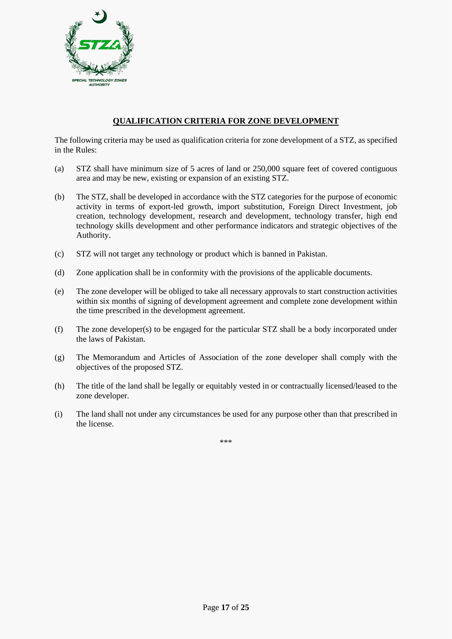

#### **QUALIFICATION CRITERIA FOR ZONE DEVELOPMENT**

The following criteria may be used as qualification criteria for zone development of a STZ, as specified in the Rules:

- (a) STZ shall have minimum size of 5 acres of land or 250,000 square feet of covered contiguous area and may be new, existing or expansion of an existing STZ.
- (b) The STZ, shall be developed in accordance with the STZ categories for the purpose of economic activity in terms of export-led growth, import substitution, Foreign Direct Investment, job creation, technology development, research and development, technology transfer, high end technology skills development and other performance indicators and strategic objectives of the Authority.
- (c) STZ will not target any technology or product which is banned in Pakistan.
- (d) Zone application shall be in conformity with the provisions of the applicable documents.
- (e) The zone developer will be obliged to take all necessary approvals to start construction activities within six months of signing of development agreement and complete zone development within the time prescribed in the development agreement.
- (f) The zone developer(s) to be engaged for the particular STZ shall be a body incorporated under the laws of Pakistan.
- (g) The Memorandum and Articles of Association of the zone developer shall comply with the objectives of the proposed STZ.
- (h) The title of the land shall be legally or equitably vested in or contractually licensed/leased to the zone developer.
- (i) The land shall not under any circumstances be used for any purpose other than that prescribed in the license.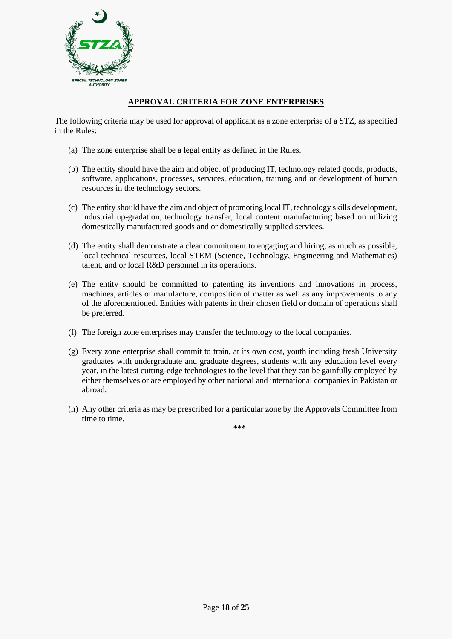

#### **APPROVAL CRITERIA FOR ZONE ENTERPRISES**

The following criteria may be used for approval of applicant as a zone enterprise of a STZ, as specified in the Rules:

- (a) The zone enterprise shall be a legal entity as defined in the Rules.
- (b) The entity should have the aim and object of producing IT, technology related goods, products, software, applications, processes, services, education, training and or development of human resources in the technology sectors.
- (c) The entity should have the aim and object of promoting local IT, technology skills development, industrial up-gradation, technology transfer, local content manufacturing based on utilizing domestically manufactured goods and or domestically supplied services.
- (d) The entity shall demonstrate a clear commitment to engaging and hiring, as much as possible, local technical resources, local STEM (Science, Technology, Engineering and Mathematics) talent, and or local R&D personnel in its operations.
- (e) The entity should be committed to patenting its inventions and innovations in process, machines, articles of manufacture, composition of matter as well as any improvements to any of the aforementioned. Entities with patents in their chosen field or domain of operations shall be preferred.
- (f) The foreign zone enterprises may transfer the technology to the local companies.
- (g) Every zone enterprise shall commit to train, at its own cost, youth including fresh University graduates with undergraduate and graduate degrees, students with any education level every year, in the latest cutting-edge technologies to the level that they can be gainfully employed by either themselves or are employed by other national and international companies in Pakistan or abroad.
- (h) Any other criteria as may be prescribed for a particular zone by the Approvals Committee from time to time.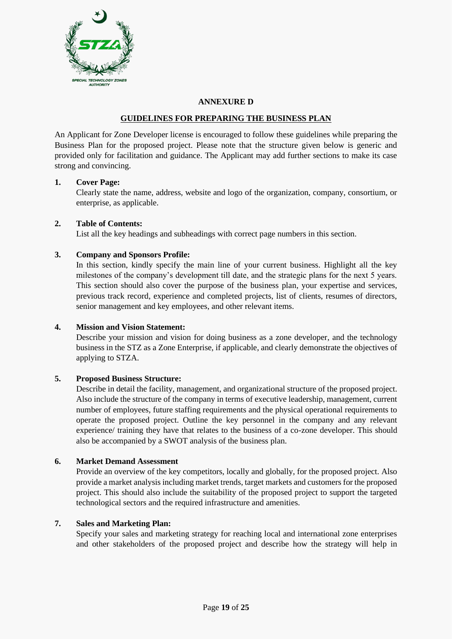

#### **ANNEXURE D**

#### **GUIDELINES FOR PREPARING THE BUSINESS PLAN**

An Applicant for Zone Developer license is encouraged to follow these guidelines while preparing the Business Plan for the proposed project. Please note that the structure given below is generic and provided only for facilitation and guidance. The Applicant may add further sections to make its case strong and convincing.

#### **1. Cover Page:**

Clearly state the name, address, website and logo of the organization, company, consortium, or enterprise, as applicable.

#### **2. Table of Contents:**

List all the key headings and subheadings with correct page numbers in this section.

#### **3. Company and Sponsors Profile:**

In this section, kindly specify the main line of your current business. Highlight all the key milestones of the company's development till date, and the strategic plans for the next 5 years. This section should also cover the purpose of the business plan, your expertise and services, previous track record, experience and completed projects, list of clients, resumes of directors, senior management and key employees, and other relevant items.

#### **4. Mission and Vision Statement:**

Describe your mission and vision for doing business as a zone developer, and the technology business in the STZ as a Zone Enterprise, if applicable, and clearly demonstrate the objectives of applying to STZA.

#### **5. Proposed Business Structure:**

Describe in detail the facility, management, and organizational structure of the proposed project. Also include the structure of the company in terms of executive leadership, management, current number of employees, future staffing requirements and the physical operational requirements to operate the proposed project. Outline the key personnel in the company and any relevant experience/ training they have that relates to the business of a co-zone developer. This should also be accompanied by a SWOT analysis of the business plan.

#### **6. Market Demand Assessment**

Provide an overview of the key competitors, locally and globally, for the proposed project. Also provide a market analysis including market trends, target markets and customers for the proposed project. This should also include the suitability of the proposed project to support the targeted technological sectors and the required infrastructure and amenities.

#### **7. Sales and Marketing Plan:**

Specify your sales and marketing strategy for reaching local and international zone enterprises and other stakeholders of the proposed project and describe how the strategy will help in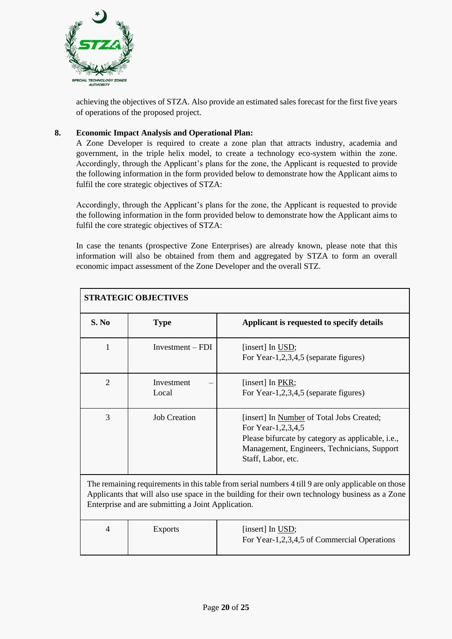

achieving the objectives of STZA. Also provide an estimated sales forecast for the first five years of operations of the proposed project.

#### **8. Economic Impact Analysis and Operational Plan:**

A Zone Developer is required to create a zone plan that attracts industry, academia and government, in the triple helix model, to create a technology eco-system within the zone. Accordingly, through the Applicant's plans for the zone, the Applicant is requested to provide the following information in the form provided below to demonstrate how the Applicant aims to fulfil the core strategic objectives of STZA:

Accordingly, through the Applicant's plans for the zone, the Applicant is requested to provide the following information in the form provided below to demonstrate how the Applicant aims to fulfil the core strategic objectives of STZA:

In case the tenants (prospective Zone Enterprises) are already known, please note that this information will also be obtained from them and aggregated by STZA to form an overall economic impact assessment of the Zone Developer and the overall STZ.

| <b>STRATEGIC OBJECTIVES</b>                                                                                                                                                                                                                                 |                     |                                                                                                                                                                                                   |  |
|-------------------------------------------------------------------------------------------------------------------------------------------------------------------------------------------------------------------------------------------------------------|---------------------|---------------------------------------------------------------------------------------------------------------------------------------------------------------------------------------------------|--|
| S. No                                                                                                                                                                                                                                                       | <b>Type</b>         | Applicant is requested to specify details                                                                                                                                                         |  |
| 1                                                                                                                                                                                                                                                           | $Investment - FDI$  | [insert] In USD;<br>For Year-1,2,3,4,5 (separate figures)                                                                                                                                         |  |
| $\overline{2}$                                                                                                                                                                                                                                              | Investment<br>Local | [insert] In PKR;<br>For Year-1,2,3,4,5 (separate figures)                                                                                                                                         |  |
| 3                                                                                                                                                                                                                                                           | <b>Job Creation</b> | [insert] In Number of Total Jobs Created;<br>For Year-1,2,3,4,5<br>Please bifurcate by category as applicable, <i>i.e.</i> ,<br>Management, Engineers, Technicians, Support<br>Staff, Labor, etc. |  |
| The remaining requirements in this table from serial numbers 4 till 9 are only applicable on those<br>Applicants that will also use space in the building for their own technology business as a Zone<br>Enterprise and are submitting a Joint Application. |                     |                                                                                                                                                                                                   |  |
| $\overline{4}$                                                                                                                                                                                                                                              | <b>Exports</b>      | [insert] In USD;<br>For Year-1,2,3,4,5 of Commercial Operations                                                                                                                                   |  |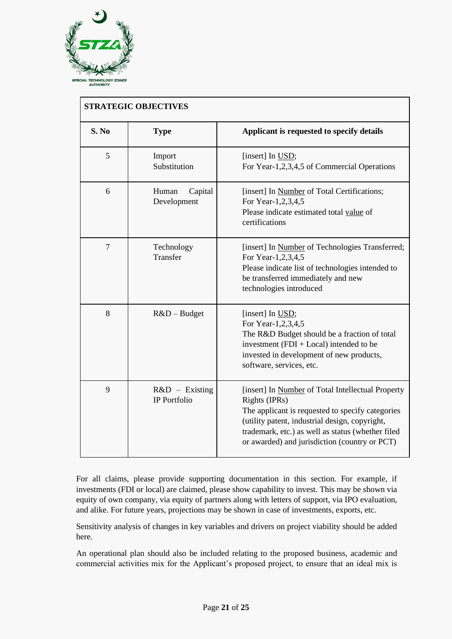

|                | <b>STRATEGIC OBJECTIVES</b>      |                                                                                                                                                                                                                                                                                |
|----------------|----------------------------------|--------------------------------------------------------------------------------------------------------------------------------------------------------------------------------------------------------------------------------------------------------------------------------|
| S. No          | <b>Type</b>                      | Applicant is requested to specify details                                                                                                                                                                                                                                      |
| 5              | Import<br>Substitution           | [insert] In USD;<br>For Year-1,2,3,4,5 of Commercial Operations                                                                                                                                                                                                                |
| 6              | Human<br>Capital<br>Development  | [insert] In Number of Total Certifications;<br>For Year-1,2,3,4,5<br>Please indicate estimated total value of<br>certifications                                                                                                                                                |
| $\overline{7}$ | Technology<br>Transfer           | [insert] In Number of Technologies Transferred;<br>For Year-1,2,3,4,5<br>Please indicate list of technologies intended to<br>be transferred immediately and new<br>technologies introduced                                                                                     |
| 8              | $R&D - Budget$                   | [insert] In USD;<br>For Year-1,2,3,4,5<br>The R&D Budget should be a fraction of total<br>investment $(FDI + Local)$ intended to be<br>invested in development of new products,<br>software, services, etc.                                                                    |
| 9              | $R&D$ – Existing<br>IP Portfolio | [insert] In Number of Total Intellectual Property<br>Rights (IPRs)<br>The applicant is requested to specify categories<br>(utility patent, industrial design, copyright,<br>trademark, etc.) as well as status (whether filed<br>or awarded) and jurisdiction (country or PCT) |

For all claims, please provide supporting documentation in this section. For example, if investments (FDI or local) are claimed, please show capability to invest. This may be shown via equity of own company, via equity of partners along with letters of support, via IPO evaluation, and alike. For future years, projections may be shown in case of investments, exports, etc.

Sensitivity analysis of changes in key variables and drivers on project viability should be added here.

An operational plan should also be included relating to the proposed business, academic and commercial activities mix for the Applicant's proposed project, to ensure that an ideal mix is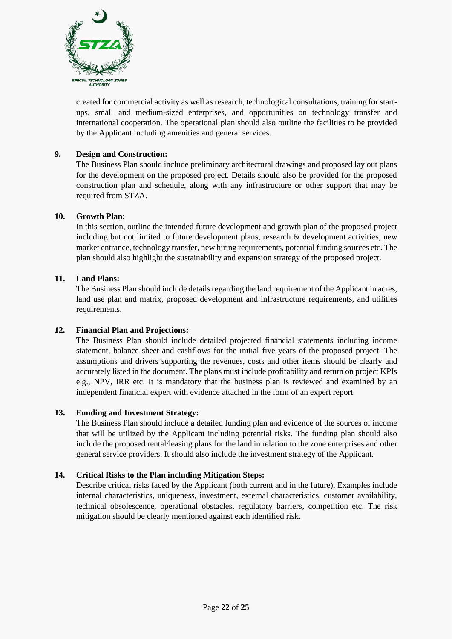

created for commercial activity as well as research, technological consultations, training for startups, small and medium-sized enterprises, and opportunities on technology transfer and international cooperation. The operational plan should also outline the facilities to be provided by the Applicant including amenities and general services.

#### **9. Design and Construction:**

The Business Plan should include preliminary architectural drawings and proposed lay out plans for the development on the proposed project. Details should also be provided for the proposed construction plan and schedule, along with any infrastructure or other support that may be required from STZA.

#### **10. Growth Plan:**

In this section, outline the intended future development and growth plan of the proposed project including but not limited to future development plans, research  $\&$  development activities, new market entrance, technology transfer, new hiring requirements, potential funding sources etc. The plan should also highlight the sustainability and expansion strategy of the proposed project.

#### **11. Land Plans:**

The Business Plan should include details regarding the land requirement of the Applicant in acres, land use plan and matrix, proposed development and infrastructure requirements, and utilities requirements.

#### **12. Financial Plan and Projections:**

The Business Plan should include detailed projected financial statements including income statement, balance sheet and cashflows for the initial five years of the proposed project. The assumptions and drivers supporting the revenues, costs and other items should be clearly and accurately listed in the document. The plans must include profitability and return on project KPIs e.g., NPV, IRR etc. It is mandatory that the business plan is reviewed and examined by an independent financial expert with evidence attached in the form of an expert report.

#### **13. Funding and Investment Strategy:**

The Business Plan should include a detailed funding plan and evidence of the sources of income that will be utilized by the Applicant including potential risks. The funding plan should also include the proposed rental/leasing plans for the land in relation to the zone enterprises and other general service providers. It should also include the investment strategy of the Applicant.

#### **14. Critical Risks to the Plan including Mitigation Steps:**

Describe critical risks faced by the Applicant (both current and in the future). Examples include internal characteristics, uniqueness, investment, external characteristics, customer availability, technical obsolescence, operational obstacles, regulatory barriers, competition etc. The risk mitigation should be clearly mentioned against each identified risk.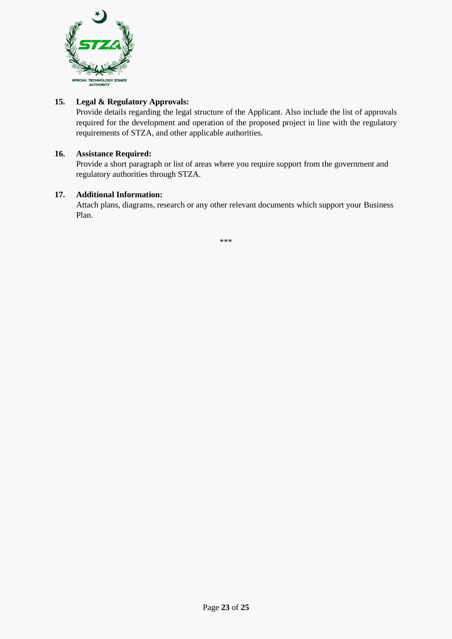

#### **15. Legal & Regulatory Approvals:**

Provide details regarding the legal structure of the Applicant. Also include the list of approvals required for the development and operation of the proposed project in line with the regulatory requirements of STZA, and other applicable authorities.

#### **16. Assistance Required:**

Provide a short paragraph or list of areas where you require support from the government and regulatory authorities through STZA.

#### **17. Additional Information:**

Attach plans, diagrams, research or any other relevant documents which support your Business Plan.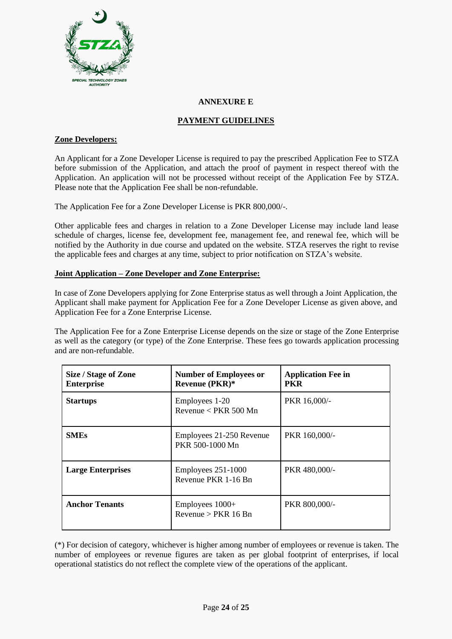

#### **ANNEXURE E**

#### **PAYMENT GUIDELINES**

#### **Zone Developers:**

An Applicant for a Zone Developer License is required to pay the prescribed Application Fee to STZA before submission of the Application, and attach the proof of payment in respect thereof with the Application. An application will not be processed without receipt of the Application Fee by STZA. Please note that the Application Fee shall be non-refundable.

The Application Fee for a Zone Developer License is PKR 800,000/-.

Other applicable fees and charges in relation to a Zone Developer License may include land lease schedule of charges, license fee, development fee, management fee, and renewal fee, which will be notified by the Authority in due course and updated on the website. STZA reserves the right to revise the applicable fees and charges at any time, subject to prior notification on STZA's website.

#### **Joint Application – Zone Developer and Zone Enterprise:**

In case of Zone Developers applying for Zone Enterprise status as well through a Joint Application, the Applicant shall make payment for Application Fee for a Zone Developer License as given above, and Application Fee for a Zone Enterprise License.

The Application Fee for a Zone Enterprise License depends on the size or stage of the Zone Enterprise as well as the category (or type) of the Zone Enterprise. These fees go towards application processing and are non-refundable.

| Size / Stage of Zone<br><b>Enterprise</b> | <b>Number of Employees or</b><br><b>Revenue (PKR)*</b> | <b>Application Fee in</b><br><b>PKR</b> |
|-------------------------------------------|--------------------------------------------------------|-----------------------------------------|
| <b>Startups</b>                           | Employees 1-20<br>Revenue $\langle$ PKR 500 Mn         | PKR 16,000/-                            |
| <b>SMEs</b>                               | Employees 21-250 Revenue<br>PKR 500-1000 Mn            | PKR 160,000/-                           |
| <b>Large Enterprises</b>                  | Employees 251-1000<br>Revenue PKR 1-16 Bn              | PKR 480,000/-                           |
| <b>Anchor Tenants</b>                     | Employees $1000+$<br>Revenue > PKR 16 Bn               | PKR 800,000/-                           |

(\*) For decision of category, whichever is higher among number of employees or revenue is taken. The number of employees or revenue figures are taken as per global footprint of enterprises, if local operational statistics do not reflect the complete view of the operations of the applicant.